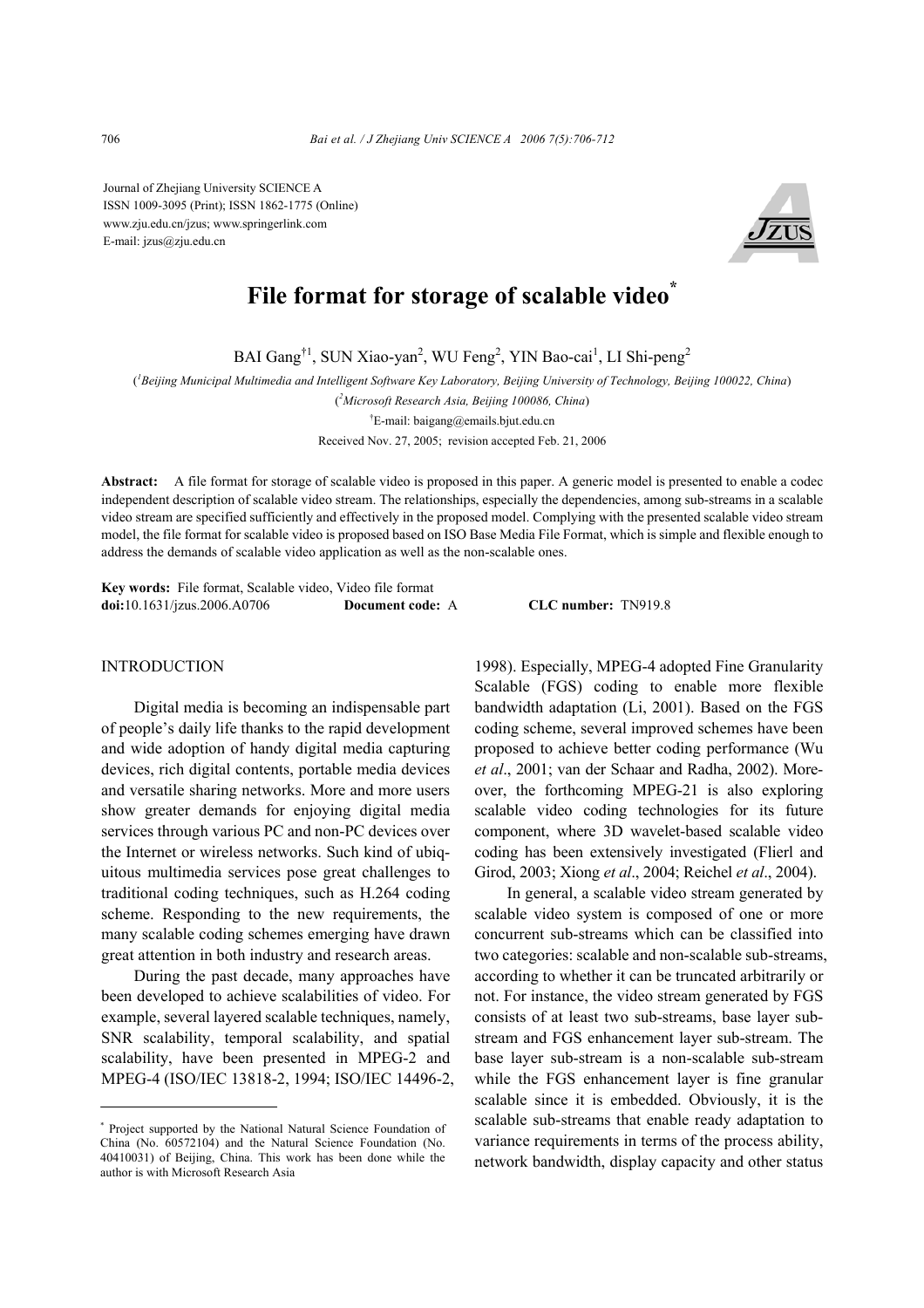Journal of Zhejiang University SCIENCE A ISSN 1009-3095 (Print); ISSN 1862-1775 (Online) www.zju.edu.cn/jzus; www.springerlink.com E-mail: jzus@zju.edu.cn



# **File format for storage of scalable video\***

BAI Gang<sup>†1</sup>, SUN Xiao-yan<sup>2</sup>, WU Feng<sup>2</sup>, YIN Bao-cai<sup>1</sup>, LI Shi-peng<sup>2</sup>

( *1 Beijing Municipal Multimedia and Intelligent Software Key Laboratory, Beijing University of Technology, Beijing 100022, China*)

( *2 Microsoft Research Asia, Beijing 100086, China*)

† E-mail: baigang@emails.bjut.edu.cn

Received Nov. 27, 2005; revision accepted Feb. 21, 2006

**Abstract:** A file format for storage of scalable video is proposed in this paper. A generic model is presented to enable a codec independent description of scalable video stream. The relationships, especially the dependencies, among sub-streams in a scalable video stream are specified sufficiently and effectively in the proposed model. Complying with the presented scalable video stream model, the file format for scalable video is proposed based on ISO Base Media File Format, which is simple and flexible enough to address the demands of scalable video application as well as the non-scalable ones.

**Key words:** File format, Scalable video, Video file format **doi:**10.1631/jzus.2006.A0706 **Document code:** A **CLC number:** TN919.8

# INTRODUCTION

Digital media is becoming an indispensable part of people's daily life thanks to the rapid development and wide adoption of handy digital media capturing devices, rich digital contents, portable media devices and versatile sharing networks. More and more users show greater demands for enjoying digital media services through various PC and non-PC devices over the Internet or wireless networks. Such kind of ubiquitous multimedia services pose great challenges to traditional coding techniques, such as H.264 coding scheme. Responding to the new requirements, the many scalable coding schemes emerging have drawn great attention in both industry and research areas.

During the past decade, many approaches have been developed to achieve scalabilities of video. For example, several layered scalable techniques, namely, SNR scalability, temporal scalability, and spatial scalability, have been presented in MPEG-2 and MPEG-4 (ISO/IEC 13818-2, 1994; ISO/IEC 14496-2, 1998). Especially, MPEG-4 adopted Fine Granularity Scalable (FGS) coding to enable more flexible bandwidth adaptation (Li, 2001). Based on the FGS coding scheme, several improved schemes have been proposed to achieve better coding performance (Wu *et al*., 2001; van der Schaar and Radha, 2002). Moreover, the forthcoming MPEG-21 is also exploring scalable video coding technologies for its future component, where 3D wavelet-based scalable video coding has been extensively investigated (Flierl and Girod, 2003; Xiong *et al*., 2004; Reichel *et al*., 2004).

In general, a scalable video stream generated by scalable video system is composed of one or more concurrent sub-streams which can be classified into two categories: scalable and non-scalable sub-streams, according to whether it can be truncated arbitrarily or not. For instance, the video stream generated by FGS consists of at least two sub-streams, base layer substream and FGS enhancement layer sub-stream. The base layer sub-stream is a non-scalable sub-stream while the FGS enhancement layer is fine granular scalable since it is embedded. Obviously, it is the scalable sub-streams that enable ready adaptation to variance requirements in terms of the process ability, network bandwidth, display capacity and other status

<sup>\*</sup> Project supported by the National Natural Science Foundation of China (No. 60572104) and the Natural Science Foundation (No. 40410031) of Beijing, China. This work has been done while the author is with Microsoft Research Asia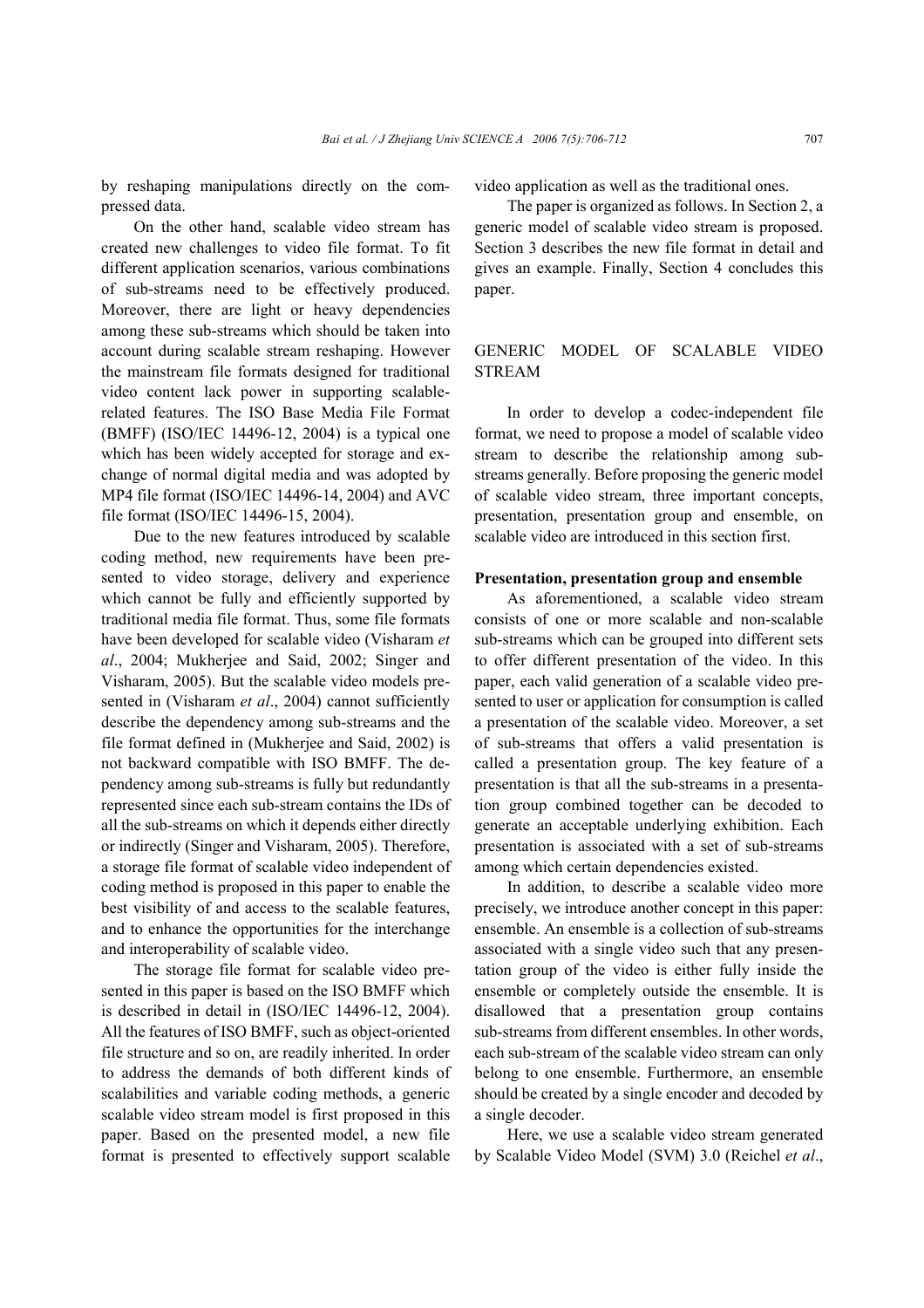by reshaping manipulations directly on the compressed data.

On the other hand, scalable video stream has created new challenges to video file format. To fit different application scenarios, various combinations of sub-streams need to be effectively produced. Moreover, there are light or heavy dependencies among these sub-streams which should be taken into account during scalable stream reshaping. However the mainstream file formats designed for traditional video content lack power in supporting scalablerelated features. The ISO Base Media File Format (BMFF) (ISO/IEC 14496-12, 2004) is a typical one which has been widely accepted for storage and exchange of normal digital media and was adopted by MP4 file format (ISO/IEC 14496-14, 2004) and AVC file format (ISO/IEC 14496-15, 2004).

Due to the new features introduced by scalable coding method, new requirements have been presented to video storage, delivery and experience which cannot be fully and efficiently supported by traditional media file format. Thus, some file formats have been developed for scalable video (Visharam *et al*., 2004; Mukherjee and Said, 2002; Singer and Visharam, 2005). But the scalable video models presented in (Visharam *et al.*, 2004) cannot sufficiently describe the dependency among sub-streams and the file format defined in (Mukherjee and Said, 2002) is not backward compatible with ISO BMFF. The dependency among sub-streams is fully but redundantly represented since each sub-stream contains the IDs of all the sub-streams on which it depends either directly or indirectly (Singer and Visharam, 2005). Therefore, a storage file format of scalable video independent of coding method is proposed in this paper to enable the best visibility of and access to the scalable features, and to enhance the opportunities for the interchange and interoperability of scalable video.

The storage file format for scalable video presented in this paper is based on the ISO BMFF which is described in detail in (ISO/IEC 14496-12, 2004). All the features of ISO BMFF, such as object-oriented file structure and so on, are readily inherited. In order to address the demands of both different kinds of scalabilities and variable coding methods, a generic scalable video stream model is first proposed in this paper. Based on the presented model, a new file format is presented to effectively support scalable video application as well as the traditional ones.

The paper is organized as follows. In Section 2, a generic model of scalable video stream is proposed. Section 3 describes the new file format in detail and gives an example. Finally, Section 4 concludes this paper.

# GENERIC MODEL OF SCALABLE VIDEO STREAM

In order to develop a codec-independent file format, we need to propose a model of scalable video stream to describe the relationship among substreams generally. Before proposing the generic model of scalable video stream, three important concepts, presentation, presentation group and ensemble, on scalable video are introduced in this section first.

#### **Presentation, presentation group and ensemble**

As aforementioned, a scalable video stream consists of one or more scalable and non-scalable sub-streams which can be grouped into different sets to offer different presentation of the video. In this paper, each valid generation of a scalable video presented to user or application for consumption is called a presentation of the scalable video. Moreover, a set of sub-streams that offers a valid presentation is called a presentation group. The key feature of a presentation is that all the sub-streams in a presentation group combined together can be decoded to generate an acceptable underlying exhibition. Each presentation is associated with a set of sub-streams among which certain dependencies existed.

In addition, to describe a scalable video more precisely, we introduce another concept in this paper: ensemble. An ensemble is a collection of sub-streams associated with a single video such that any presentation group of the video is either fully inside the ensemble or completely outside the ensemble. It is disallowed that a presentation group contains sub-streams from different ensembles. In other words, each sub-stream of the scalable video stream can only belong to one ensemble. Furthermore, an ensemble should be created by a single encoder and decoded by a single decoder.

Here, we use a scalable video stream generated by Scalable Video Model (SVM) 3.0 (Reichel *et al*.,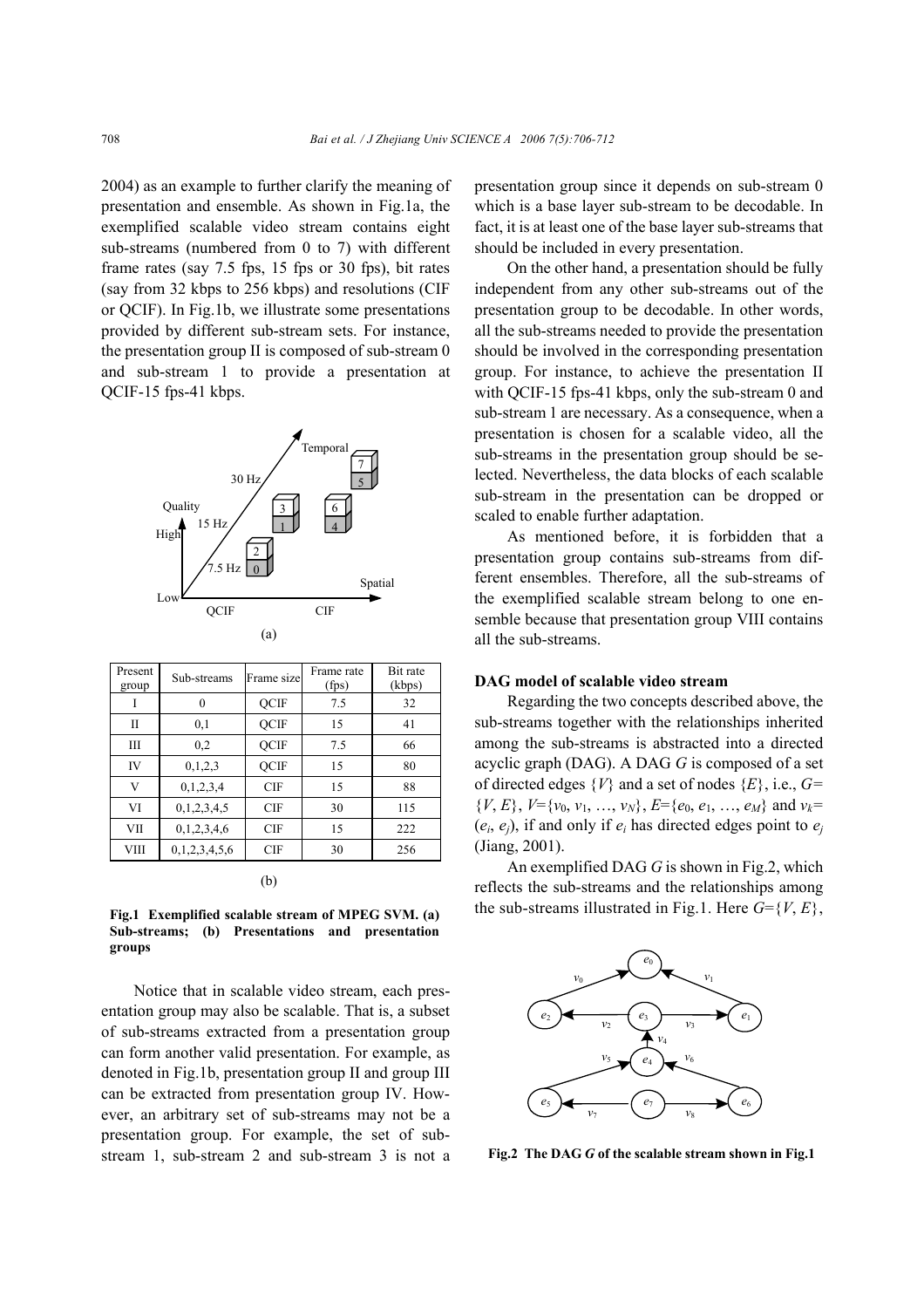2004) as an example to further clarify the meaning of presentation and ensemble. As shown in Fig.1a, the exemplified scalable video stream contains eight sub-streams (numbered from 0 to 7) with different frame rates (say 7.5 fps, 15 fps or 30 fps), bit rates (say from 32 kbps to 256 kbps) and resolutions (CIF or QCIF). In Fig.1b, we illustrate some presentations provided by different sub-stream sets. For instance, the presentation group II is composed of sub-stream 0 and sub-stream 1 to provide a presentation at QCIF-15 fps-41 kbps.



| Present<br>group | Sub-streams   | Frame size | Frame rate<br>(fps) | Bit rate<br>(kbps)<br>32 |  |
|------------------|---------------|------------|---------------------|--------------------------|--|
| I                | 0             | QCIF       | 7.5                 |                          |  |
| П                | 0,1           | QCIF       | 15                  | 41                       |  |
| Ш                | 0,2           | QCIF       | 7.5                 | 66                       |  |
| IV               | 0,1,2,3       | QCIF       | 15                  | 80                       |  |
| V                | 0,1,2,3,4     | <b>CIF</b> | 15                  | 88                       |  |
| VI               | 0,1,2,3,4,5   | <b>CIF</b> | 30                  | 115                      |  |
| <b>VII</b>       | 0,1,2,3,4,6   | <b>CIF</b> | 15                  | 222                      |  |
| <b>VIII</b>      | 0,1,2,3,4,5,6 | <b>CIF</b> | 30                  | 256                      |  |
|                  |               | (b)        |                     |                          |  |

**Fig.1 Exemplified scalable stream of MPEG SVM. (a) Sub-streams; (b) Presentations and presentation groups** 

Notice that in scalable video stream, each presentation group may also be scalable. That is, a subset of sub-streams extracted from a presentation group can form another valid presentation. For example, as denoted in Fig.1b, presentation group II and group III can be extracted from presentation group IV. However, an arbitrary set of sub-streams may not be a presentation group. For example, the set of substream 1, sub-stream 2 and sub-stream 3 is not a presentation group since it depends on sub-stream 0 which is a base layer sub-stream to be decodable. In fact, it is at least one of the base layer sub-streams that should be included in every presentation.

On the other hand, a presentation should be fully independent from any other sub-streams out of the presentation group to be decodable. In other words, all the sub-streams needed to provide the presentation should be involved in the corresponding presentation group. For instance, to achieve the presentation II with QCIF-15 fps-41 kbps, only the sub-stream 0 and sub-stream 1 are necessary. As a consequence, when a presentation is chosen for a scalable video, all the sub-streams in the presentation group should be selected. Nevertheless, the data blocks of each scalable sub-stream in the presentation can be dropped or scaled to enable further adaptation.

As mentioned before, it is forbidden that a presentation group contains sub-streams from different ensembles. Therefore, all the sub-streams of the exemplified scalable stream belong to one ensemble because that presentation group VIII contains all the sub-streams.

# **DAG model of scalable video stream**

Regarding the two concepts described above, the sub-streams together with the relationships inherited among the sub-streams is abstracted into a directed acyclic graph (DAG). A DAG *G* is composed of a set of directed edges {*V*} and a set of nodes {*E*}, i.e., *G=* {*V*, *E*}, *V*={*v*0, *v*1, …, *vN*}, *E*={*e*0, *e*1, …, *eM*} and *vk=*  $(e_i, e_j)$ , if and only if  $e_i$  has directed edges point to  $e_i$ (Jiang, 2001).

An exemplified DAG *G* is shown in Fig.2, which reflects the sub-streams and the relationships among the sub-streams illustrated in Fig.1. Here  $G=\{V, E\}$ ,



**Fig.2 The DAG** *G* **of the scalable stream shown in Fig.1**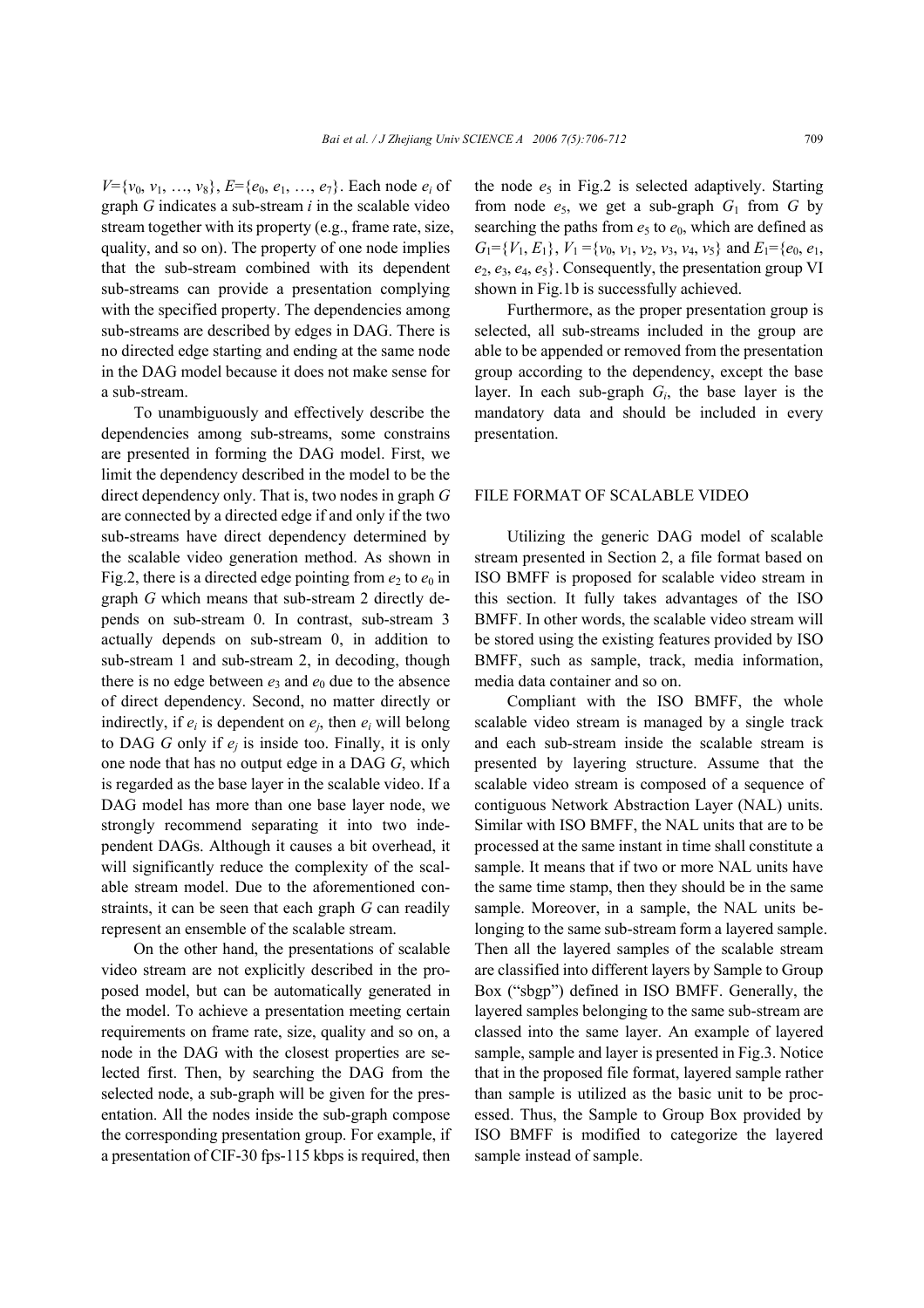$V = \{v_0, v_1, \ldots, v_8\}, E = \{e_0, e_1, \ldots, e_7\}.$  Each node  $e_i$  of graph *G* indicates a sub-stream *i* in the scalable video stream together with its property (e.g., frame rate, size, quality, and so on). The property of one node implies that the sub-stream combined with its dependent sub-streams can provide a presentation complying with the specified property. The dependencies among sub-streams are described by edges in DAG. There is no directed edge starting and ending at the same node in the DAG model because it does not make sense for a sub-stream.

To unambiguously and effectively describe the dependencies among sub-streams, some constrains are presented in forming the DAG model. First, we limit the dependency described in the model to be the direct dependency only. That is, two nodes in graph *G* are connected by a directed edge if and only if the two sub-streams have direct dependency determined by the scalable video generation method. As shown in Fig.2, there is a directed edge pointing from  $e_2$  to  $e_0$  in graph *G* which means that sub-stream 2 directly depends on sub-stream 0. In contrast, sub-stream 3 actually depends on sub-stream 0, in addition to sub-stream 1 and sub-stream 2, in decoding, though there is no edge between  $e_3$  and  $e_0$  due to the absence of direct dependency. Second, no matter directly or indirectly, if  $e_i$  is dependent on  $e_i$ , then  $e_i$  will belong to DAG  $G$  only if  $e_i$  is inside too. Finally, it is only one node that has no output edge in a DAG *G*, which is regarded as the base layer in the scalable video. If a DAG model has more than one base layer node, we strongly recommend separating it into two independent DAGs. Although it causes a bit overhead, it will significantly reduce the complexity of the scalable stream model. Due to the aforementioned constraints, it can be seen that each graph *G* can readily represent an ensemble of the scalable stream.

On the other hand, the presentations of scalable video stream are not explicitly described in the proposed model, but can be automatically generated in the model. To achieve a presentation meeting certain requirements on frame rate, size, quality and so on, a node in the DAG with the closest properties are selected first. Then, by searching the DAG from the selected node, a sub-graph will be given for the presentation. All the nodes inside the sub-graph compose the corresponding presentation group. For example, if a presentation of CIF-30 fps-115 kbps is required, then

the node  $e_5$  in Fig.2 is selected adaptively. Starting from node  $e_5$ , we get a sub-graph  $G_1$  from  $G$  by searching the paths from  $e_5$  to  $e_0$ , which are defined as  $G_1 = \{V_1, E_1\}, V_1 = \{v_0, v_1, v_2, v_3, v_4, v_5\}$  and  $E_1 = \{e_0, e_1, e_2, e_3, v_4, v_5\}$ *e*2, *e*3, *e*4, *e*5}. Consequently, the presentation group VI shown in Fig.1b is successfully achieved.

Furthermore, as the proper presentation group is selected, all sub-streams included in the group are able to be appended or removed from the presentation group according to the dependency, except the base layer. In each sub-graph *Gi*, the base layer is the mandatory data and should be included in every presentation.

#### FILE FORMAT OF SCALABLE VIDEO

Utilizing the generic DAG model of scalable stream presented in Section 2, a file format based on ISO BMFF is proposed for scalable video stream in this section. It fully takes advantages of the ISO BMFF. In other words, the scalable video stream will be stored using the existing features provided by ISO BMFF, such as sample, track, media information, media data container and so on.

Compliant with the ISO BMFF, the whole scalable video stream is managed by a single track and each sub-stream inside the scalable stream is presented by layering structure. Assume that the scalable video stream is composed of a sequence of contiguous Network Abstraction Layer (NAL) units. Similar with ISO BMFF, the NAL units that are to be processed at the same instant in time shall constitute a sample. It means that if two or more NAL units have the same time stamp, then they should be in the same sample. Moreover, in a sample, the NAL units belonging to the same sub-stream form a layered sample. Then all the layered samples of the scalable stream are classified into different layers by Sample to Group Box ("sbgp") defined in ISO BMFF. Generally, the layered samples belonging to the same sub-stream are classed into the same layer. An example of layered sample, sample and layer is presented in Fig.3. Notice that in the proposed file format, layered sample rather than sample is utilized as the basic unit to be processed. Thus, the Sample to Group Box provided by ISO BMFF is modified to categorize the layered sample instead of sample.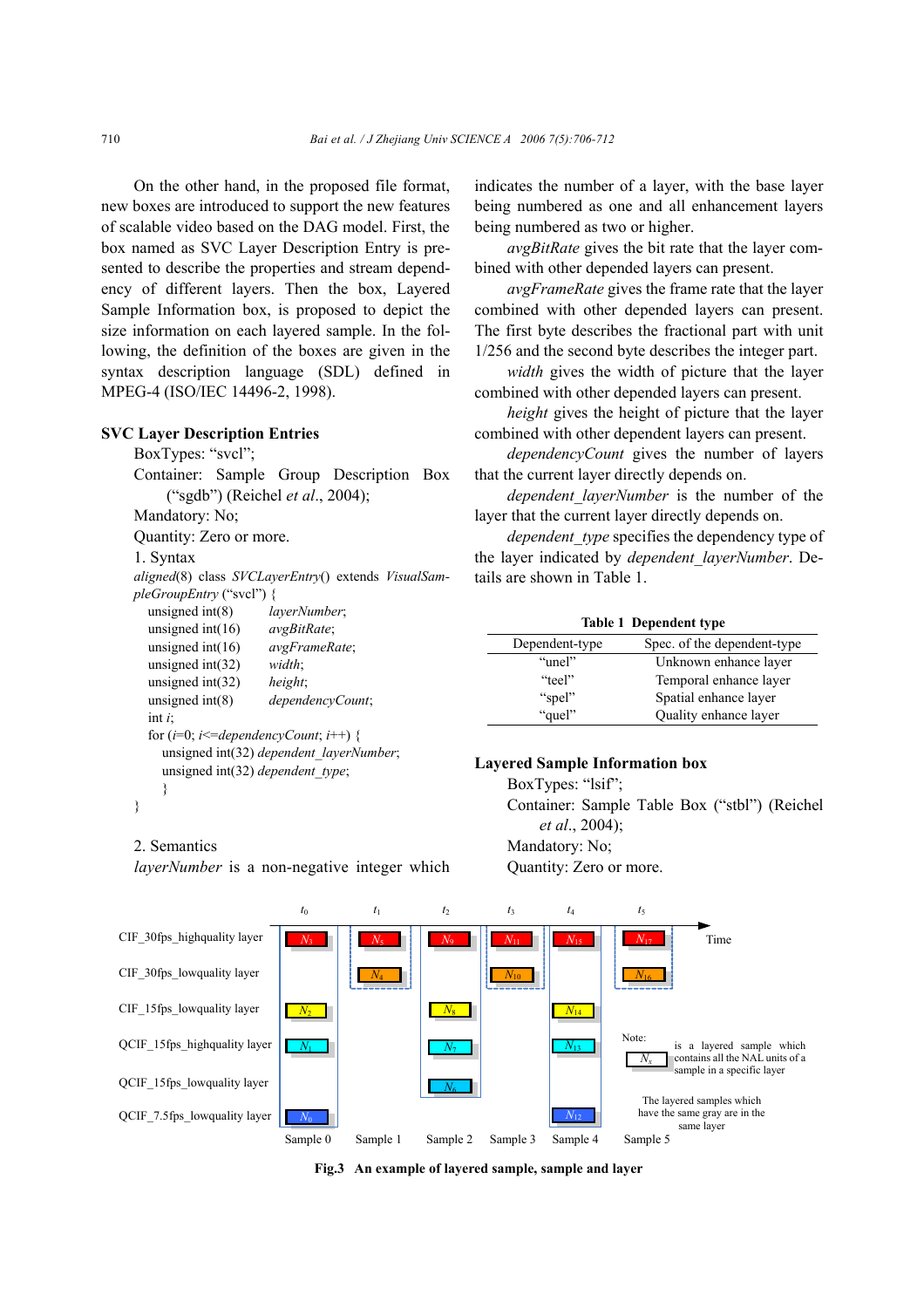On the other hand, in the proposed file format, new boxes are introduced to support the new features of scalable video based on the DAG model. First, the box named as SVC Layer Description Entry is presented to describe the properties and stream dependency of different layers. Then the box, Layered Sample Information box, is proposed to depict the size information on each layered sample. In the following, the definition of the boxes are given in the syntax description language (SDL) defined in MPEG-4 (ISO/IEC 14496-2, 1998).

# **SVC Layer Description Entries**

```
BoxTypes: "svcl"; 
Container: Sample Group Description Box 
     ("sgdb") (Reichel et al., 2004); 
Mandatory: No; 
Quantity: Zero or more. 
1. Syntax 
aligned(8) class SVCLayerEntry() extends VisualSam-
pleGroupEntry ("svcl") { 
  unsigned int(8) layerNumber; 
   unsigned int(16) avgBitRate; 
   unsigned int(16) avgFrameRate; 
   unsigned int(32) width; 
   unsigned int(32) height; 
   unsigned int(8) dependencyCount; 
   int i; 
  for (i=0; i \leq -\text{dependentcvCount}; i++) {
     unsigned int(32) dependent_layerNumber; 
     unsigned int(32) dependent_type; 
     } 
}
```
# 2. Semantics

*layerNumber* is a non-negative integer which

indicates the number of a layer, with the base layer being numbered as one and all enhancement layers being numbered as two or higher.

*avgBitRate* gives the bit rate that the layer combined with other depended layers can present.

*avgFrameRate* gives the frame rate that the layer combined with other depended layers can present. The first byte describes the fractional part with unit 1/256 and the second byte describes the integer part.

*width* gives the width of picture that the layer combined with other depended layers can present.

*height* gives the height of picture that the layer combined with other dependent layers can present.

*dependencyCount* gives the number of layers that the current layer directly depends on.

*dependent\_layerNumber* is the number of the layer that the current layer directly depends on.

*dependent type* specifies the dependency type of the layer indicated by *dependent\_layerNumber*. Details are shown in Table 1.

**Table 1 Dependent type** 

| Dependent-type | Spec. of the dependent-type |
|----------------|-----------------------------|
| "unel"         | Unknown enhance layer       |
| "teel"         | Temporal enhance layer      |
| "spel"         | Spatial enhance layer       |
| "quel"         | Quality enhance layer       |

# **Layered Sample Information box**

BoxTypes: "lsif"; Container: Sample Table Box ("stbl") (Reichel *et al*., 2004); Mandatory: No; Quantity: Zero or more.



**Fig.3 An example of layered sample, sample and layer**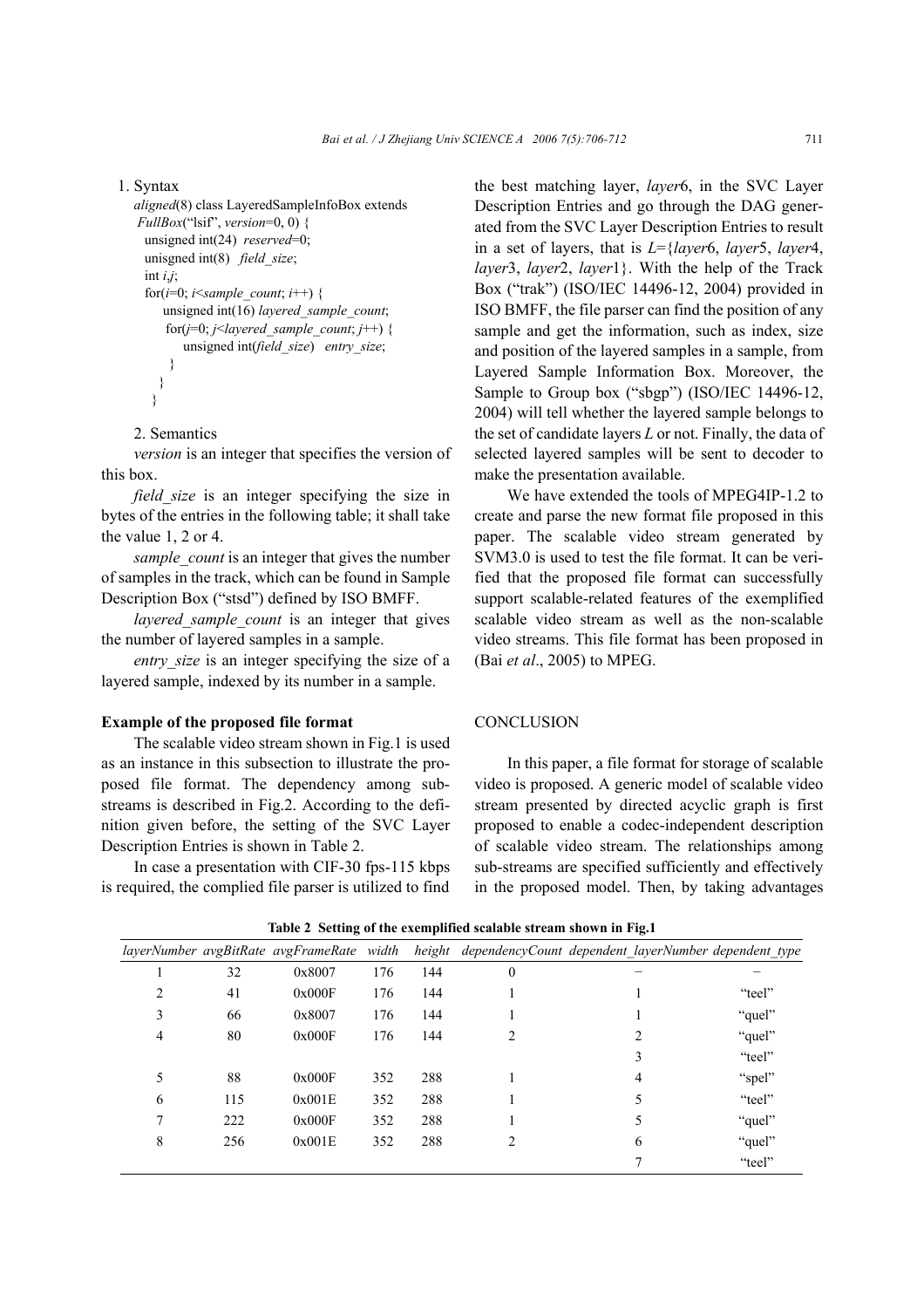#### 1. Syntax

```
aligned(8) class LayeredSampleInfoBox extends 
FullBox("lsif", version=0, 0) { 
   unsigned int(24) reserved=0; 
   unisgned int(8) field_size; 
   int i,j; 
  for(i=0; i < sample_count; i++) {
     unsigned int(16) layered_sample_count; 
      for(j=0; j<layered_sample_count; j++) { 
          unsigned int(field_size) entry_size; 
       } 
     } 
   }
```
#### 2. Semantics

*version* is an integer that specifies the version of this box.

*field size* is an integer specifying the size in bytes of the entries in the following table; it shall take the value 1, 2 or 4.

*sample count* is an integer that gives the number of samples in the track, which can be found in Sample Description Box ("stsd") defined by ISO BMFF.

*layered\_sample\_count* is an integer that gives the number of layered samples in a sample.

*entry size* is an integer specifying the size of a layered sample, indexed by its number in a sample.

#### **Example of the proposed file format**

The scalable video stream shown in Fig.1 is used as an instance in this subsection to illustrate the proposed file format. The dependency among substreams is described in Fig.2. According to the definition given before, the setting of the SVC Layer Description Entries is shown in Table 2.

In case a presentation with CIF-30 fps-115 kbps is required, the complied file parser is utilized to find

the best matching layer, *layer*6, in the SVC Layer Description Entries and go through the DAG generated from the SVC Layer Description Entries to result in a set of layers, that is *L*={*layer*6, *layer*5, *layer*4, *layer*3, *layer*2, *layer*1}. With the help of the Track Box ("trak") (ISO/IEC 14496-12, 2004) provided in ISO BMFF, the file parser can find the position of any sample and get the information, such as index, size and position of the layered samples in a sample, from Layered Sample Information Box. Moreover, the Sample to Group box ("sbgp") (ISO/IEC 14496-12, 2004) will tell whether the layered sample belongs to the set of candidate layers *L* or not. Finally, the data of selected layered samples will be sent to decoder to make the presentation available.

We have extended the tools of MPEG4IP-1.2 to create and parse the new format file proposed in this paper. The scalable video stream generated by SVM3.0 is used to test the file format. It can be verified that the proposed file format can successfully support scalable-related features of the exemplified scalable video stream as well as the non-scalable video streams. This file format has been proposed in (Bai *et al*., 2005) to MPEG.

# **CONCLUSION**

In this paper, a file format for storage of scalable video is proposed. A generic model of scalable video stream presented by directed acyclic graph is first proposed to enable a codec-independent description of scalable video stream. The relationships among sub-streams are specified sufficiently and effectively in the proposed model. Then, by taking advantages

|   |     | layerNumber avgBitRate avgFrameRate width |     |     |          | height dependencyCount dependent_layerNumber dependent type |        |
|---|-----|-------------------------------------------|-----|-----|----------|-------------------------------------------------------------|--------|
|   | 32  | 0x8007                                    | 176 | 144 | $\theta$ |                                                             |        |
| 2 | 41  | 0x000F                                    | 176 | 144 |          |                                                             | "teel" |
| 3 | 66  | 0x8007                                    | 176 | 144 |          |                                                             | "quel" |
| 4 | 80  | 0x000F                                    | 176 | 144 | 2        | 2                                                           | "quel" |
|   |     |                                           |     |     |          | 3                                                           | "teel" |
| 5 | 88  | 0x000F                                    | 352 | 288 |          | 4                                                           | "spel" |
| 6 | 115 | 0x001E                                    | 352 | 288 |          | 5                                                           | "teel" |
|   | 222 | 0x000F                                    | 352 | 288 |          | 5                                                           | "quel" |
| 8 | 256 | 0x001E                                    | 352 | 288 | 2        | 6                                                           | "quel" |
|   |     |                                           |     |     |          |                                                             | "teel" |

**Table 2 Setting of the exemplified scalable stream shown in Fig.1**